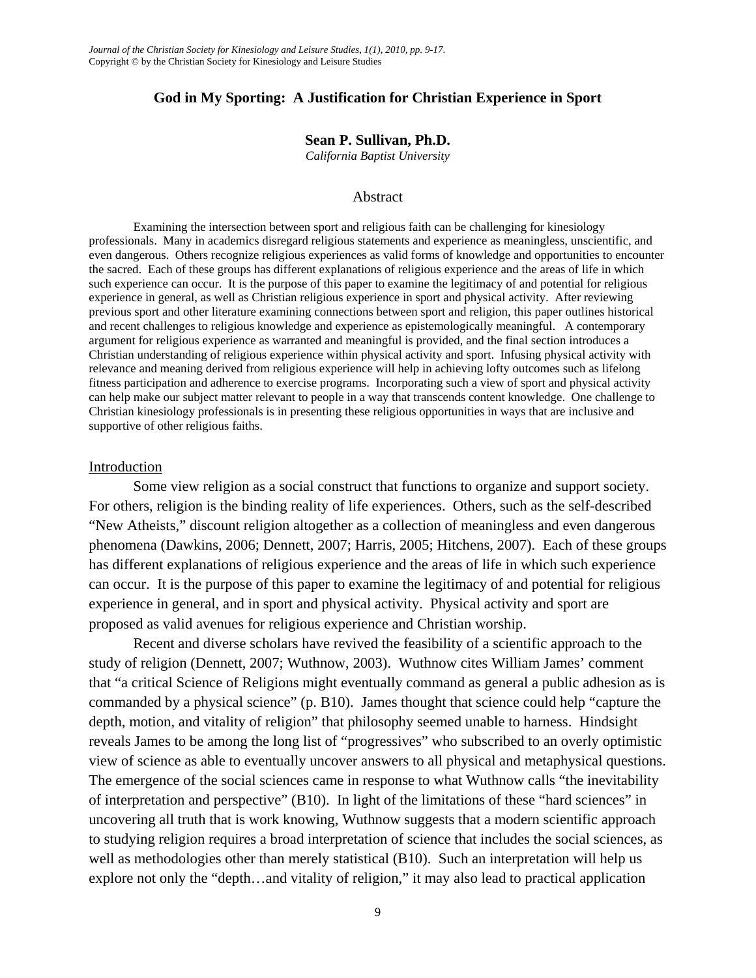# **God in My Sporting: A Justification for Christian Experience in Sport**

### **Sean P. Sullivan, Ph.D.**

*California Baptist University* 

#### Abstract

Examining the intersection between sport and religious faith can be challenging for kinesiology professionals. Many in academics disregard religious statements and experience as meaningless, unscientific, and even dangerous. Others recognize religious experiences as valid forms of knowledge and opportunities to encounter the sacred. Each of these groups has different explanations of religious experience and the areas of life in which such experience can occur. It is the purpose of this paper to examine the legitimacy of and potential for religious experience in general, as well as Christian religious experience in sport and physical activity. After reviewing previous sport and other literature examining connections between sport and religion, this paper outlines historical and recent challenges to religious knowledge and experience as epistemologically meaningful. A contemporary argument for religious experience as warranted and meaningful is provided, and the final section introduces a Christian understanding of religious experience within physical activity and sport. Infusing physical activity with relevance and meaning derived from religious experience will help in achieving lofty outcomes such as lifelong fitness participation and adherence to exercise programs. Incorporating such a view of sport and physical activity can help make our subject matter relevant to people in a way that transcends content knowledge. One challenge to Christian kinesiology professionals is in presenting these religious opportunities in ways that are inclusive and supportive of other religious faiths.

#### Introduction

Some view religion as a social construct that functions to organize and support society. For others, religion is the binding reality of life experiences. Others, such as the self-described "New Atheists," discount religion altogether as a collection of meaningless and even dangerous phenomena (Dawkins, 2006; Dennett, 2007; Harris, 2005; Hitchens, 2007). Each of these groups has different explanations of religious experience and the areas of life in which such experience can occur. It is the purpose of this paper to examine the legitimacy of and potential for religious experience in general, and in sport and physical activity. Physical activity and sport are proposed as valid avenues for religious experience and Christian worship.

 Recent and diverse scholars have revived the feasibility of a scientific approach to the study of religion (Dennett, 2007; Wuthnow, 2003). Wuthnow cites William James' comment that "a critical Science of Religions might eventually command as general a public adhesion as is commanded by a physical science" (p. B10). James thought that science could help "capture the depth, motion, and vitality of religion" that philosophy seemed unable to harness. Hindsight reveals James to be among the long list of "progressives" who subscribed to an overly optimistic view of science as able to eventually uncover answers to all physical and metaphysical questions. The emergence of the social sciences came in response to what Wuthnow calls "the inevitability of interpretation and perspective" (B10). In light of the limitations of these "hard sciences" in uncovering all truth that is work knowing, Wuthnow suggests that a modern scientific approach to studying religion requires a broad interpretation of science that includes the social sciences, as well as methodologies other than merely statistical (B10). Such an interpretation will help us explore not only the "depth…and vitality of religion," it may also lead to practical application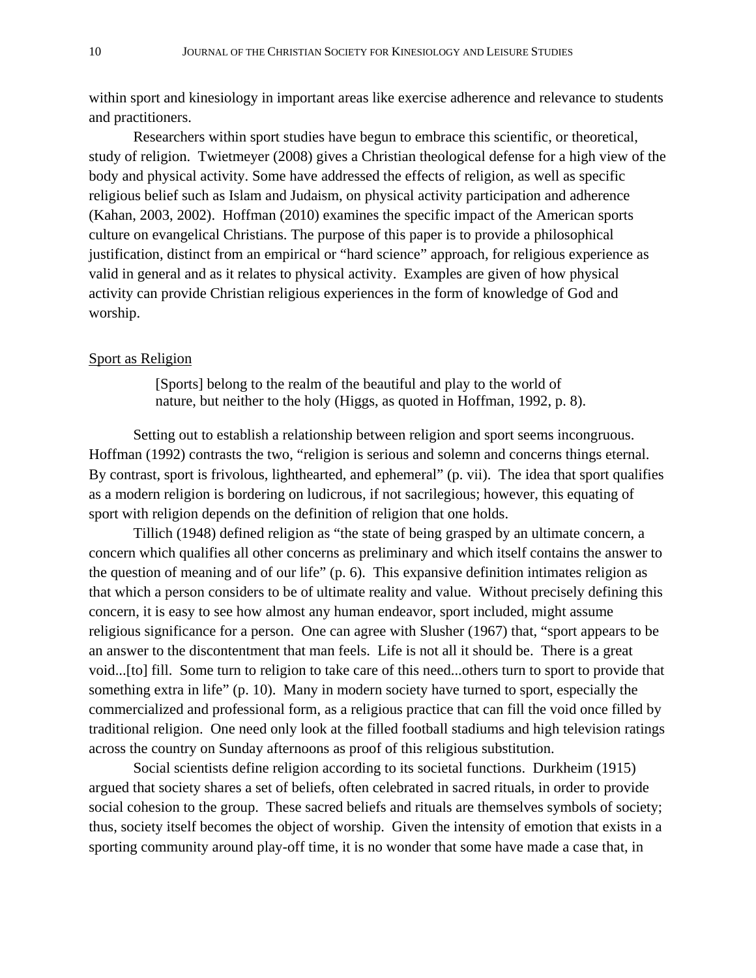within sport and kinesiology in important areas like exercise adherence and relevance to students and practitioners.

 Researchers within sport studies have begun to embrace this scientific, or theoretical, study of religion. Twietmeyer (2008) gives a Christian theological defense for a high view of the body and physical activity. Some have addressed the effects of religion, as well as specific religious belief such as Islam and Judaism, on physical activity participation and adherence (Kahan, 2003, 2002). Hoffman (2010) examines the specific impact of the American sports culture on evangelical Christians. The purpose of this paper is to provide a philosophical justification, distinct from an empirical or "hard science" approach, for religious experience as valid in general and as it relates to physical activity. Examples are given of how physical activity can provide Christian religious experiences in the form of knowledge of God and worship.

#### Sport as Religion

[Sports] belong to the realm of the beautiful and play to the world of nature, but neither to the holy (Higgs, as quoted in Hoffman, 1992, p. 8).

 Setting out to establish a relationship between religion and sport seems incongruous. Hoffman (1992) contrasts the two, "religion is serious and solemn and concerns things eternal. By contrast, sport is frivolous, lighthearted, and ephemeral" (p. vii). The idea that sport qualifies as a modern religion is bordering on ludicrous, if not sacrilegious; however, this equating of sport with religion depends on the definition of religion that one holds.

 Tillich (1948) defined religion as "the state of being grasped by an ultimate concern, a concern which qualifies all other concerns as preliminary and which itself contains the answer to the question of meaning and of our life" (p. 6). This expansive definition intimates religion as that which a person considers to be of ultimate reality and value. Without precisely defining this concern, it is easy to see how almost any human endeavor, sport included, might assume religious significance for a person. One can agree with Slusher (1967) that, "sport appears to be an answer to the discontentment that man feels. Life is not all it should be. There is a great void...[to] fill. Some turn to religion to take care of this need...others turn to sport to provide that something extra in life" (p. 10). Many in modern society have turned to sport, especially the commercialized and professional form, as a religious practice that can fill the void once filled by traditional religion. One need only look at the filled football stadiums and high television ratings across the country on Sunday afternoons as proof of this religious substitution.

 Social scientists define religion according to its societal functions. Durkheim (1915) argued that society shares a set of beliefs, often celebrated in sacred rituals, in order to provide social cohesion to the group. These sacred beliefs and rituals are themselves symbols of society; thus, society itself becomes the object of worship. Given the intensity of emotion that exists in a sporting community around play-off time, it is no wonder that some have made a case that, in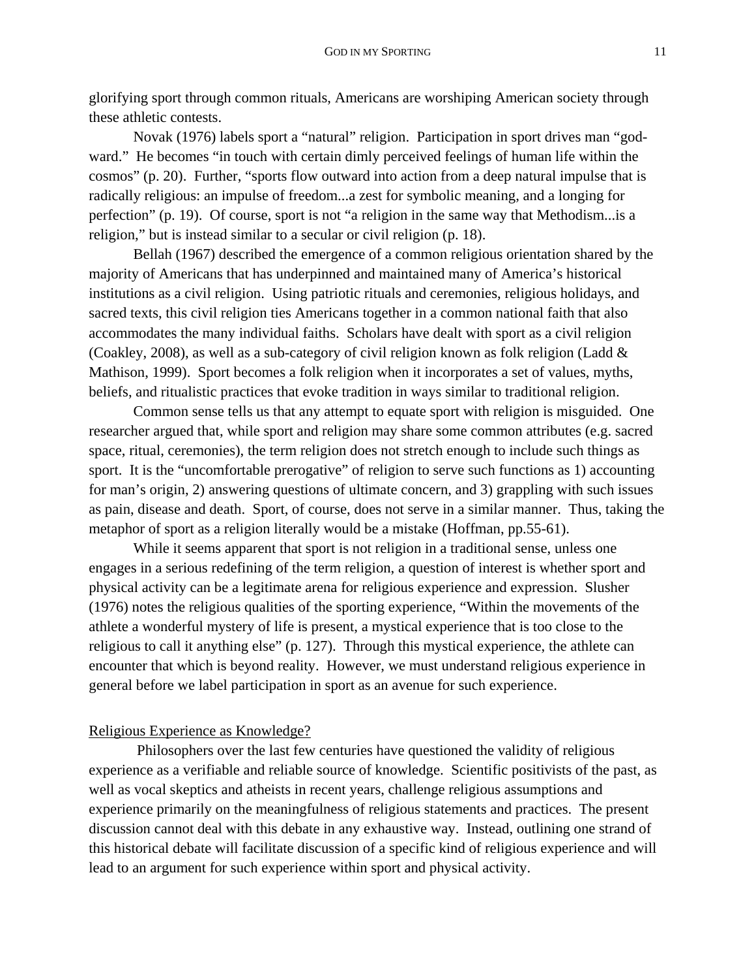glorifying sport through common rituals, Americans are worshiping American society through these athletic contests.

Novak (1976) labels sport a "natural" religion. Participation in sport drives man "godward." He becomes "in touch with certain dimly perceived feelings of human life within the cosmos" (p. 20). Further, "sports flow outward into action from a deep natural impulse that is radically religious: an impulse of freedom...a zest for symbolic meaning, and a longing for perfection" (p. 19). Of course, sport is not "a religion in the same way that Methodism...is a religion," but is instead similar to a secular or civil religion (p. 18).

 Bellah (1967) described the emergence of a common religious orientation shared by the majority of Americans that has underpinned and maintained many of America's historical institutions as a civil religion. Using patriotic rituals and ceremonies, religious holidays, and sacred texts, this civil religion ties Americans together in a common national faith that also accommodates the many individual faiths. Scholars have dealt with sport as a civil religion (Coakley, 2008), as well as a sub-category of civil religion known as folk religion (Ladd & Mathison, 1999). Sport becomes a folk religion when it incorporates a set of values, myths, beliefs, and ritualistic practices that evoke tradition in ways similar to traditional religion.

Common sense tells us that any attempt to equate sport with religion is misguided. One researcher argued that, while sport and religion may share some common attributes (e.g. sacred space, ritual, ceremonies), the term religion does not stretch enough to include such things as sport. It is the "uncomfortable prerogative" of religion to serve such functions as 1) accounting for man's origin, 2) answering questions of ultimate concern, and 3) grappling with such issues as pain, disease and death. Sport, of course, does not serve in a similar manner. Thus, taking the metaphor of sport as a religion literally would be a mistake (Hoffman, pp.55-61).

 While it seems apparent that sport is not religion in a traditional sense, unless one engages in a serious redefining of the term religion, a question of interest is whether sport and physical activity can be a legitimate arena for religious experience and expression. Slusher (1976) notes the religious qualities of the sporting experience, "Within the movements of the athlete a wonderful mystery of life is present, a mystical experience that is too close to the religious to call it anything else" (p. 127). Through this mystical experience, the athlete can encounter that which is beyond reality. However, we must understand religious experience in general before we label participation in sport as an avenue for such experience.

### Religious Experience as Knowledge?

 Philosophers over the last few centuries have questioned the validity of religious experience as a verifiable and reliable source of knowledge. Scientific positivists of the past, as well as vocal skeptics and atheists in recent years, challenge religious assumptions and experience primarily on the meaningfulness of religious statements and practices. The present discussion cannot deal with this debate in any exhaustive way. Instead, outlining one strand of this historical debate will facilitate discussion of a specific kind of religious experience and will lead to an argument for such experience within sport and physical activity.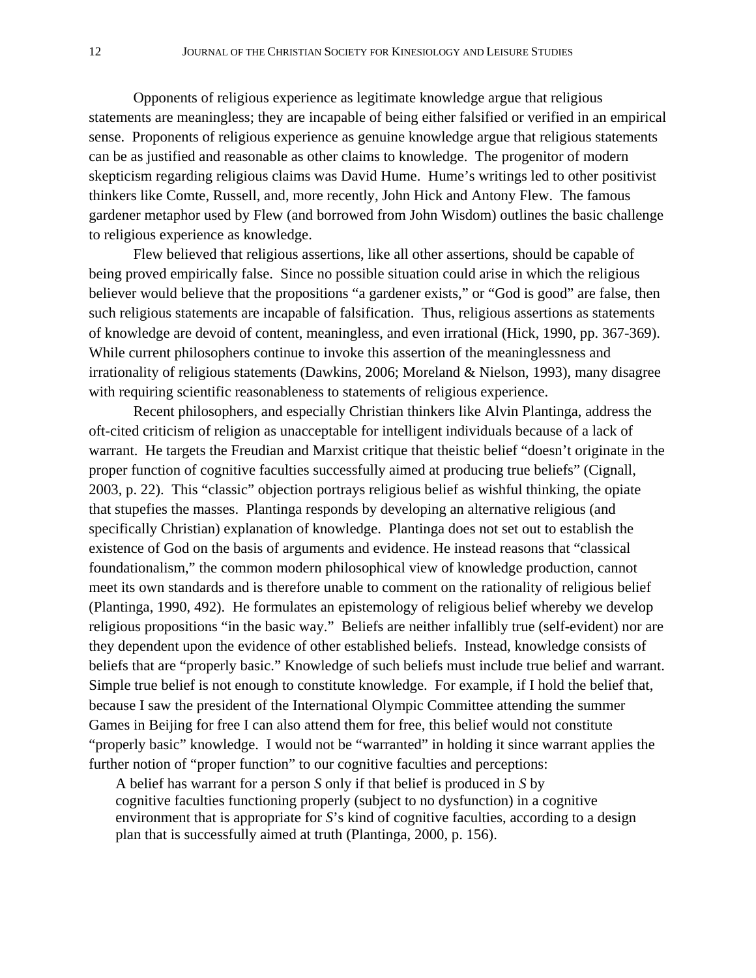Opponents of religious experience as legitimate knowledge argue that religious statements are meaningless; they are incapable of being either falsified or verified in an empirical sense. Proponents of religious experience as genuine knowledge argue that religious statements can be as justified and reasonable as other claims to knowledge. The progenitor of modern skepticism regarding religious claims was David Hume. Hume's writings led to other positivist thinkers like Comte, Russell, and, more recently, John Hick and Antony Flew. The famous gardener metaphor used by Flew (and borrowed from John Wisdom) outlines the basic challenge to religious experience as knowledge.

 Flew believed that religious assertions, like all other assertions, should be capable of being proved empirically false. Since no possible situation could arise in which the religious believer would believe that the propositions "a gardener exists," or "God is good" are false, then such religious statements are incapable of falsification. Thus, religious assertions as statements of knowledge are devoid of content, meaningless, and even irrational (Hick, 1990, pp. 367-369). While current philosophers continue to invoke this assertion of the meaninglessness and irrationality of religious statements (Dawkins, 2006; Moreland & Nielson, 1993), many disagree with requiring scientific reasonableness to statements of religious experience.

 Recent philosophers, and especially Christian thinkers like Alvin Plantinga, address the oft-cited criticism of religion as unacceptable for intelligent individuals because of a lack of warrant. He targets the Freudian and Marxist critique that theistic belief "doesn't originate in the proper function of cognitive faculties successfully aimed at producing true beliefs" (Cignall, 2003, p. 22). This "classic" objection portrays religious belief as wishful thinking, the opiate that stupefies the masses. Plantinga responds by developing an alternative religious (and specifically Christian) explanation of knowledge. Plantinga does not set out to establish the existence of God on the basis of arguments and evidence. He instead reasons that "classical foundationalism," the common modern philosophical view of knowledge production, cannot meet its own standards and is therefore unable to comment on the rationality of religious belief (Plantinga, 1990, 492). He formulates an epistemology of religious belief whereby we develop religious propositions "in the basic way." Beliefs are neither infallibly true (self-evident) nor are they dependent upon the evidence of other established beliefs. Instead, knowledge consists of beliefs that are "properly basic." Knowledge of such beliefs must include true belief and warrant. Simple true belief is not enough to constitute knowledge. For example, if I hold the belief that, because I saw the president of the International Olympic Committee attending the summer Games in Beijing for free I can also attend them for free, this belief would not constitute "properly basic" knowledge. I would not be "warranted" in holding it since warrant applies the further notion of "proper function" to our cognitive faculties and perceptions:

A belief has warrant for a person *S* only if that belief is produced in *S* by cognitive faculties functioning properly (subject to no dysfunction) in a cognitive environment that is appropriate for *S*'s kind of cognitive faculties, according to a design plan that is successfully aimed at truth (Plantinga, 2000, p. 156).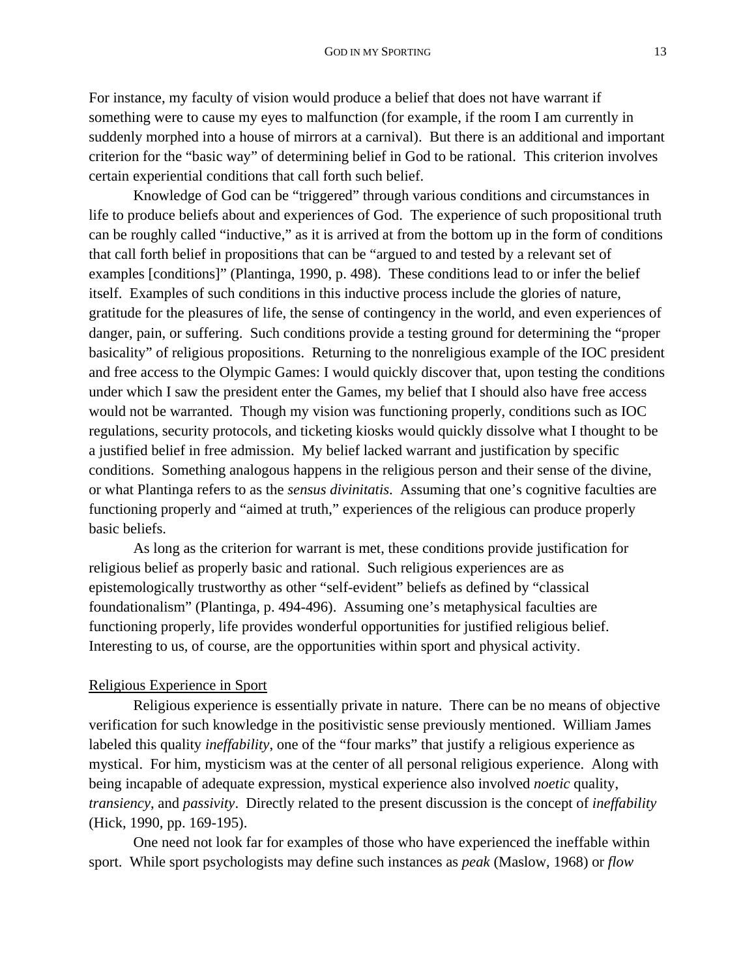For instance, my faculty of vision would produce a belief that does not have warrant if something were to cause my eyes to malfunction (for example, if the room I am currently in suddenly morphed into a house of mirrors at a carnival). But there is an additional and important criterion for the "basic way" of determining belief in God to be rational. This criterion involves certain experiential conditions that call forth such belief.

Knowledge of God can be "triggered" through various conditions and circumstances in life to produce beliefs about and experiences of God. The experience of such propositional truth can be roughly called "inductive," as it is arrived at from the bottom up in the form of conditions that call forth belief in propositions that can be "argued to and tested by a relevant set of examples [conditions]" (Plantinga, 1990, p. 498). These conditions lead to or infer the belief itself.Examples of such conditions in this inductive process include the glories of nature, gratitude for the pleasures of life, the sense of contingency in the world, and even experiences of danger, pain, or suffering. Such conditions provide a testing ground for determining the "proper basicality" of religious propositions. Returning to the nonreligious example of the IOC president and free access to the Olympic Games: I would quickly discover that, upon testing the conditions under which I saw the president enter the Games, my belief that I should also have free access would not be warranted. Though my vision was functioning properly, conditions such as IOC regulations, security protocols, and ticketing kiosks would quickly dissolve what I thought to be a justified belief in free admission. My belief lacked warrant and justification by specific conditions. Something analogous happens in the religious person and their sense of the divine, or what Plantinga refers to as the *sensus divinitatis*. Assuming that one's cognitive faculties are functioning properly and "aimed at truth," experiences of the religious can produce properly basic beliefs.

As long as the criterion for warrant is met, these conditions provide justification for religious belief as properly basic and rational. Such religious experiences are as epistemologically trustworthy as other "self-evident" beliefs as defined by "classical foundationalism" (Plantinga, p. 494-496). Assuming one's metaphysical faculties are functioning properly, life provides wonderful opportunities for justified religious belief. Interesting to us, of course, are the opportunities within sport and physical activity.

## Religious Experience in Sport

Religious experience is essentially private in nature. There can be no means of objective verification for such knowledge in the positivistic sense previously mentioned. William James labeled this quality *ineffability*, one of the "four marks" that justify a religious experience as mystical. For him, mysticism was at the center of all personal religious experience. Along with being incapable of adequate expression, mystical experience also involved *noetic* quality, *transiency*, and *passivity*. Directly related to the present discussion is the concept of *ineffability* (Hick, 1990, pp. 169-195).

 One need not look far for examples of those who have experienced the ineffable within sport. While sport psychologists may define such instances as *peak* (Maslow, 1968) or *flow*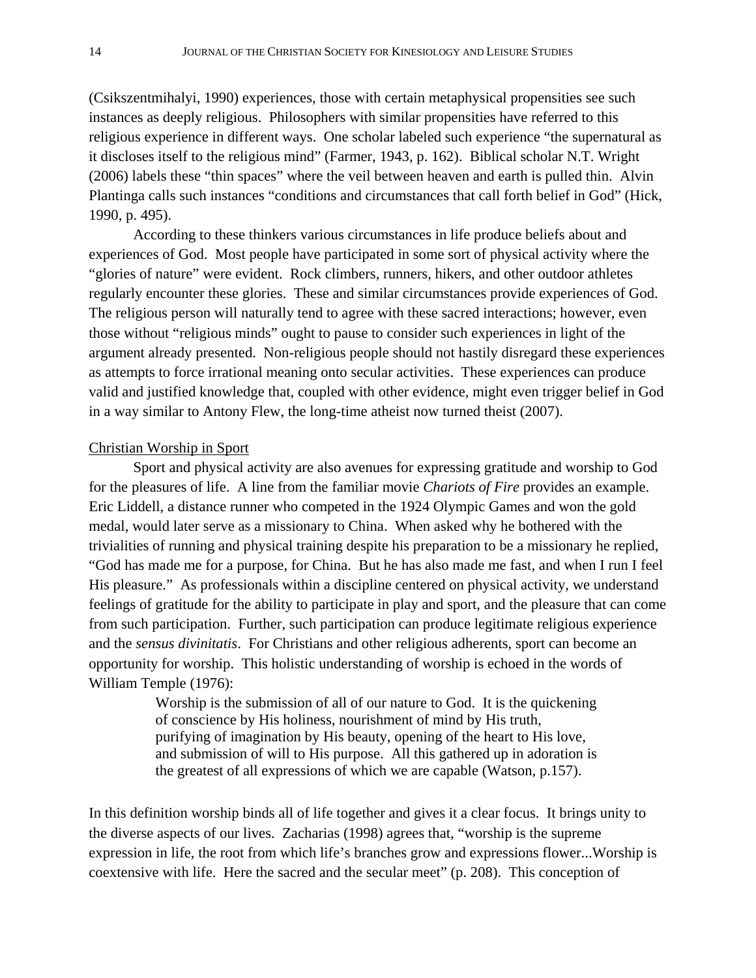(Csikszentmihalyi, 1990) experiences, those with certain metaphysical propensities see such instances as deeply religious. Philosophers with similar propensities have referred to this religious experience in different ways. One scholar labeled such experience "the supernatural as it discloses itself to the religious mind" (Farmer, 1943, p. 162). Biblical scholar N.T. Wright (2006) labels these "thin spaces" where the veil between heaven and earth is pulled thin. Alvin Plantinga calls such instances "conditions and circumstances that call forth belief in God" (Hick, 1990, p. 495).

According to these thinkers various circumstances in life produce beliefs about and experiences of God. Most people have participated in some sort of physical activity where the "glories of nature" were evident. Rock climbers, runners, hikers, and other outdoor athletes regularly encounter these glories. These and similar circumstances provide experiences of God. The religious person will naturally tend to agree with these sacred interactions; however, even those without "religious minds" ought to pause to consider such experiences in light of the argument already presented. Non-religious people should not hastily disregard these experiences as attempts to force irrational meaning onto secular activities. These experiences can produce valid and justified knowledge that, coupled with other evidence, might even trigger belief in God in a way similar to Antony Flew, the long-time atheist now turned theist (2007).

# Christian Worship in Sport

 Sport and physical activity are also avenues for expressing gratitude and worship to God for the pleasures of life. A line from the familiar movie *Chariots of Fire* provides an example. Eric Liddell, a distance runner who competed in the 1924 Olympic Games and won the gold medal, would later serve as a missionary to China. When asked why he bothered with the trivialities of running and physical training despite his preparation to be a missionary he replied, "God has made me for a purpose, for China. But he has also made me fast, and when I run I feel His pleasure." As professionals within a discipline centered on physical activity, we understand feelings of gratitude for the ability to participate in play and sport, and the pleasure that can come from such participation. Further, such participation can produce legitimate religious experience and the *sensus divinitatis*. For Christians and other religious adherents, sport can become an opportunity for worship. This holistic understanding of worship is echoed in the words of William Temple (1976):

> Worship is the submission of all of our nature to God. It is the quickening of conscience by His holiness, nourishment of mind by His truth, purifying of imagination by His beauty, opening of the heart to His love, and submission of will to His purpose. All this gathered up in adoration is the greatest of all expressions of which we are capable (Watson, p.157).

In this definition worship binds all of life together and gives it a clear focus. It brings unity to the diverse aspects of our lives. Zacharias (1998) agrees that, "worship is the supreme expression in life, the root from which life's branches grow and expressions flower...Worship is coextensive with life. Here the sacred and the secular meet" (p. 208). This conception of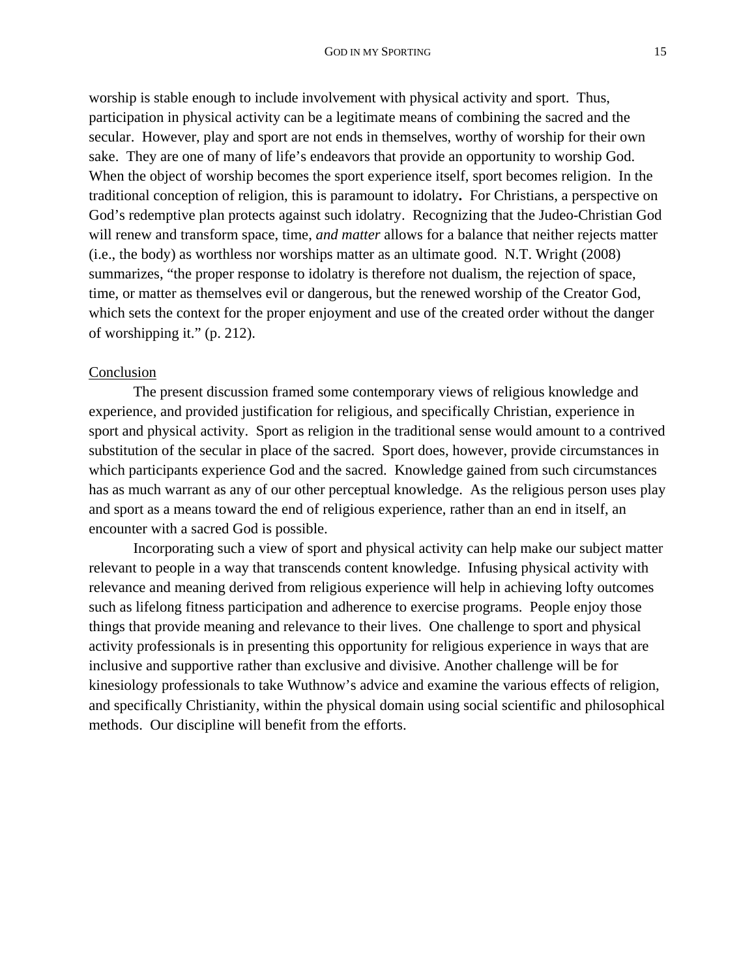worship is stable enough to include involvement with physical activity and sport. Thus, participation in physical activity can be a legitimate means of combining the sacred and the secular. However, play and sport are not ends in themselves, worthy of worship for their own sake. They are one of many of life's endeavors that provide an opportunity to worship God. When the object of worship becomes the sport experience itself, sport becomes religion. In the traditional conception of religion, this is paramount to idolatry**.** For Christians, a perspective on God's redemptive plan protects against such idolatry. Recognizing that the Judeo-Christian God will renew and transform space, time, *and matter* allows for a balance that neither rejects matter (i.e., the body) as worthless nor worships matter as an ultimate good. N.T. Wright (2008) summarizes, "the proper response to idolatry is therefore not dualism, the rejection of space, time, or matter as themselves evil or dangerous, but the renewed worship of the Creator God, which sets the context for the proper enjoyment and use of the created order without the danger of worshipping it." (p. 212).

### **Conclusion**

The present discussion framed some contemporary views of religious knowledge and experience, and provided justification for religious, and specifically Christian, experience in sport and physical activity. Sport as religion in the traditional sense would amount to a contrived substitution of the secular in place of the sacred. Sport does, however, provide circumstances in which participants experience God and the sacred. Knowledge gained from such circumstances has as much warrant as any of our other perceptual knowledge. As the religious person uses play and sport as a means toward the end of religious experience, rather than an end in itself, an encounter with a sacred God is possible.

 Incorporating such a view of sport and physical activity can help make our subject matter relevant to people in a way that transcends content knowledge. Infusing physical activity with relevance and meaning derived from religious experience will help in achieving lofty outcomes such as lifelong fitness participation and adherence to exercise programs. People enjoy those things that provide meaning and relevance to their lives. One challenge to sport and physical activity professionals is in presenting this opportunity for religious experience in ways that are inclusive and supportive rather than exclusive and divisive. Another challenge will be for kinesiology professionals to take Wuthnow's advice and examine the various effects of religion, and specifically Christianity, within the physical domain using social scientific and philosophical methods. Our discipline will benefit from the efforts.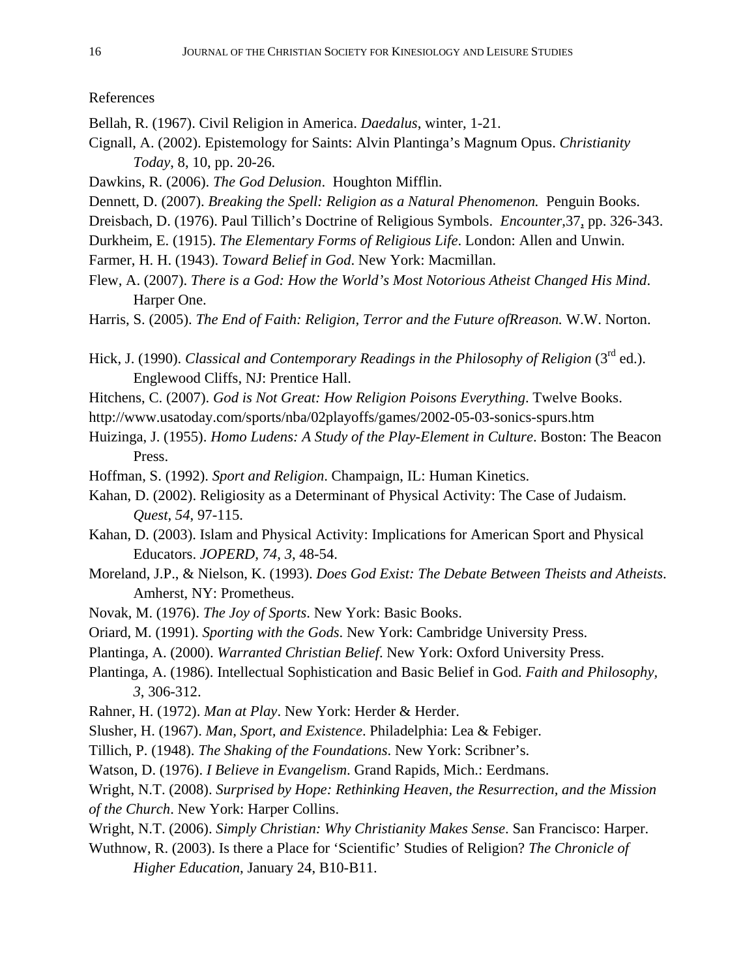References

- Bellah, R. (1967). Civil Religion in America. *Daedalus*, winter, 1-21.
- Cignall, A. (2002). Epistemology for Saints: Alvin Plantinga's Magnum Opus. *Christianity Today*, 8, 10, pp. 20-26.
- Dawkins, R. (2006). *The God Delusion*. Houghton Mifflin.
- Dennett, D. (2007). *Breaking the Spell: Religion as a Natural Phenomenon.* Penguin Books.
- Dreisbach, D. (1976). Paul Tillich's Doctrine of Religious Symbols. *Encounter*,37, pp. 326-343.
- Durkheim, E. (1915). *The Elementary Forms of Religious Life*. London: Allen and Unwin.
- Farmer, H. H. (1943). *Toward Belief in God*. New York: Macmillan.
- Flew, A. (2007). *There is a God: How the World's Most Notorious Atheist Changed His Mind*. Harper One.
- Harris, S. (2005). *The End of Faith: Religion, Terror and the Future ofRreason.* W.W. Norton.
- Hick, J. (1990). *Classical and Contemporary Readings in the Philosophy of Religion* (3<sup>rd</sup> ed.). Englewood Cliffs, NJ: Prentice Hall.
- Hitchens, C. (2007). *God is Not Great: How Religion Poisons Everything*. Twelve Books.
- http://www.usatoday.com/sports/nba/02playoffs/games/2002-05-03-sonics-spurs.htm
- Huizinga, J. (1955). *Homo Ludens: A Study of the Play-Element in Culture*. Boston: The Beacon Press.
- Hoffman, S. (1992). *Sport and Religion*. Champaign, IL: Human Kinetics.
- Kahan, D. (2002). Religiosity as a Determinant of Physical Activity: The Case of Judaism. *Quest, 54*, 97-115.
- Kahan, D. (2003). Islam and Physical Activity: Implications for American Sport and Physical Educators. *JOPERD, 74, 3*, 48-54.
- Moreland, J.P., & Nielson, K. (1993). *Does God Exist: The Debate Between Theists and Atheists*. Amherst, NY: Prometheus.
- Novak, M. (1976). *The Joy of Sports*. New York: Basic Books.
- Oriard, M. (1991). *Sporting with the Gods*. New York: Cambridge University Press.
- Plantinga, A. (2000). *Warranted Christian Belief*. New York: Oxford University Press.
- Plantinga, A. (1986). Intellectual Sophistication and Basic Belief in God. *Faith and Philosophy, 3*, 306-312.
- Rahner, H. (1972). *Man at Play*. New York: Herder & Herder.
- Slusher, H. (1967). *Man, Sport, and Existence*. Philadelphia: Lea & Febiger.
- Tillich, P. (1948). *The Shaking of the Foundations*. New York: Scribner's.
- Watson, D. (1976). *I Believe in Evangelism*. Grand Rapids, Mich.: Eerdmans.
- Wright, N.T. (2008). *Surprised by Hope: Rethinking Heaven, the Resurrection, and the Mission of the Church*. New York: Harper Collins.
- Wright, N.T. (2006). *Simply Christian: Why Christianity Makes Sense*. San Francisco: Harper.
- Wuthnow, R. (2003). Is there a Place for 'Scientific' Studies of Religion? *The Chronicle of Higher Education*, January 24, B10-B11.